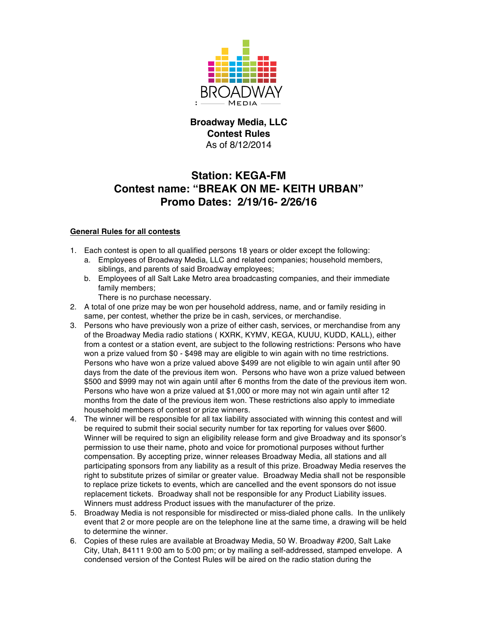

## **Broadway Media, LLC Contest Rules** As of 8/12/2014

## **Station: KEGA-FM Contest name: "BREAK ON ME- KEITH URBAN" Promo Dates: 2/19/16- 2/26/16**

## **General Rules for all contests**

- 1. Each contest is open to all qualified persons 18 years or older except the following:
	- a. Employees of Broadway Media, LLC and related companies; household members, siblings, and parents of said Broadway employees;
	- b. Employees of all Salt Lake Metro area broadcasting companies, and their immediate family members;
		- There is no purchase necessary.
- 2. A total of one prize may be won per household address, name, and or family residing in same, per contest, whether the prize be in cash, services, or merchandise.
- 3. Persons who have previously won a prize of either cash, services, or merchandise from any of the Broadway Media radio stations ( KXRK, KYMV, KEGA, KUUU, KUDD, KALL), either from a contest or a station event, are subject to the following restrictions: Persons who have won a prize valued from \$0 - \$498 may are eligible to win again with no time restrictions. Persons who have won a prize valued above \$499 are not eligible to win again until after 90 days from the date of the previous item won. Persons who have won a prize valued between \$500 and \$999 may not win again until after 6 months from the date of the previous item won. Persons who have won a prize valued at \$1,000 or more may not win again until after 12 months from the date of the previous item won. These restrictions also apply to immediate household members of contest or prize winners.
- 4. The winner will be responsible for all tax liability associated with winning this contest and will be required to submit their social security number for tax reporting for values over \$600. Winner will be required to sign an eligibility release form and give Broadway and its sponsor's permission to use their name, photo and voice for promotional purposes without further compensation. By accepting prize, winner releases Broadway Media, all stations and all participating sponsors from any liability as a result of this prize. Broadway Media reserves the right to substitute prizes of similar or greater value. Broadway Media shall not be responsible to replace prize tickets to events, which are cancelled and the event sponsors do not issue replacement tickets. Broadway shall not be responsible for any Product Liability issues. Winners must address Product issues with the manufacturer of the prize.
- 5. Broadway Media is not responsible for misdirected or miss-dialed phone calls. In the unlikely event that 2 or more people are on the telephone line at the same time, a drawing will be held to determine the winner.
- 6. Copies of these rules are available at Broadway Media, 50 W. Broadway #200, Salt Lake City, Utah, 84111 9:00 am to 5:00 pm; or by mailing a self-addressed, stamped envelope. A condensed version of the Contest Rules will be aired on the radio station during the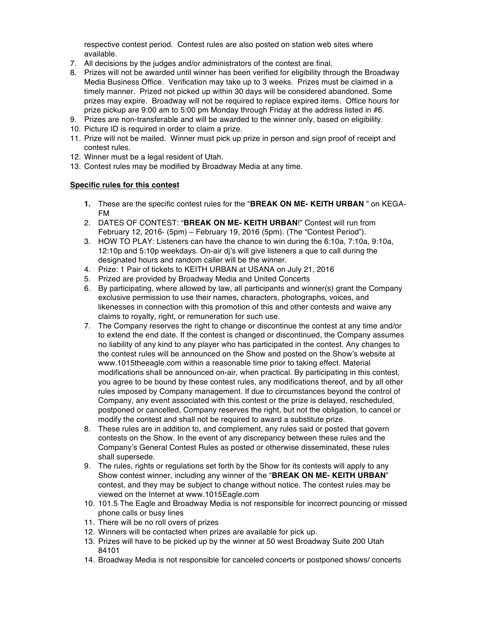respective contest period. Contest rules are also posted on station web sites where available.

- 7. All decisions by the judges and/or administrators of the contest are final.
- 8. Prizes will not be awarded until winner has been verified for eligibility through the Broadway Media Business Office. Verification may take up to 3 weeks. Prizes must be claimed in a timely manner. Prized not picked up within 30 days will be considered abandoned. Some prizes may expire. Broadway will not be required to replace expired items. Office hours for prize pickup are 9:00 am to 5:00 pm Monday through Friday at the address listed in #6.
- 9. Prizes are non-transferable and will be awarded to the winner only, based on eligibility.
- 10. Picture ID is required in order to claim a prize.
- 11. Prize will not be mailed. Winner must pick up prize in person and sign proof of receipt and contest rules.
- 12. Winner must be a legal resident of Utah.
- 13. Contest rules may be modified by Broadway Media at any time.

## **Specific rules for this contest**

- **1.** These are the specific contest rules for the "**BREAK ON ME- KEITH URBAN** " on KEGA-FM
- 2. DATES OF CONTEST: "**BREAK ON ME- KEITH URBAN**!" Contest will run from February 12, 2016- (5pm) – February 19, 2016 (5pm). (The "Contest Period").
- 3. HOW TO PLAY: Listeners can have the chance to win during the 6:10a, 7:10a, 9:10a, 12:10p and 5:10p weekdays. On-air dj's will give listeners a que to call during the designated hours and random caller will be the winner.
- 4. Prize: 1 Pair of tickets to KEITH URBAN at USANA on July 21, 2016
- 5. Prized are provided by Broadway Media and United Concerts
- 6. By participating, where allowed by law, all participants and winner(s) grant the Company exclusive permission to use their names, characters, photographs, voices, and likenesses in connection with this promotion of this and other contests and waive any claims to royalty, right, or remuneration for such use.
- 7. The Company reserves the right to change or discontinue the contest at any time and/or to extend the end date. If the contest is changed or discontinued, the Company assumes no liability of any kind to any player who has participated in the contest. Any changes to the contest rules will be announced on the Show and posted on the Show's website at www.1015theeagle.com within a reasonable time prior to taking effect. Material modifications shall be announced on-air, when practical. By participating in this contest, you agree to be bound by these contest rules, any modifications thereof, and by all other rules imposed by Company management. If due to circumstances beyond the control of Company, any event associated with this contest or the prize is delayed, rescheduled, postponed or cancelled, Company reserves the right, but not the obligation, to cancel or modify the contest and shall not be required to award a substitute prize.
- 8. These rules are in addition to, and complement, any rules said or posted that govern contests on the Show. In the event of any discrepancy between these rules and the Company's General Contest Rules as posted or otherwise disseminated, these rules shall supersede.
- 9. The rules, rights or regulations set forth by the Show for its contests will apply to any Show contest winner, including any winner of the "**BREAK ON ME- KEITH URBAN**" contest, and they may be subject to change without notice. The contest rules may be viewed on the Internet at www.1015Eagle.com
- 10. 101.5 The Eagle and Broadway Media is not responsible for incorrect pouncing or missed phone calls or busy lines
- 11. There will be no roll overs of prizes
- 12. Winners will be contacted when prizes are available for pick up.
- 13. Prizes will have to be picked up by the winner at 50 west Broadway Suite 200 Utah 84101
- 14. Broadway Media is not responsible for canceled concerts or postponed shows/ concerts